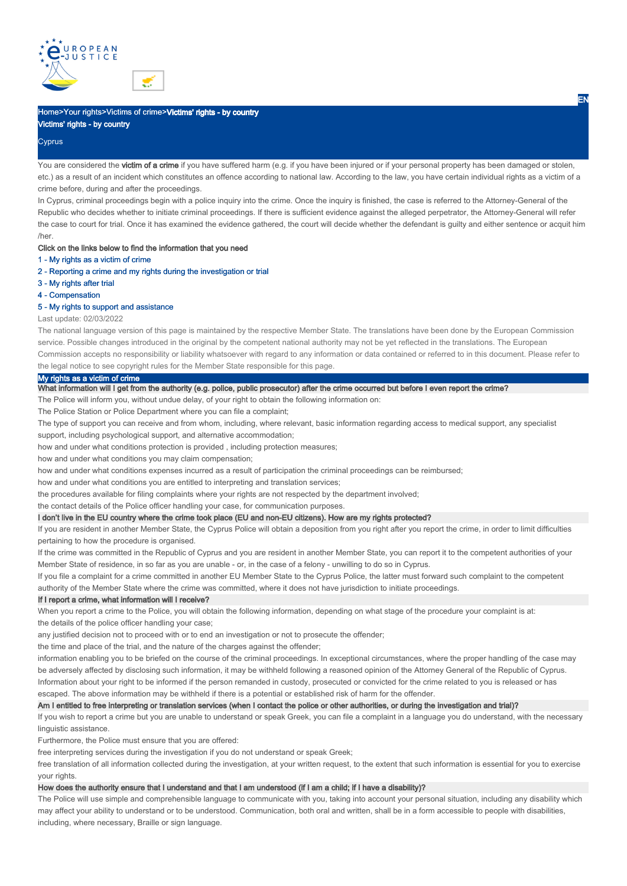



# Home>Your rights>Victims of crime>Victims' rights - by country

# Victims' rights - by country

# **Cyprus**

You are considered the victim of a crime if you have suffered harm (e.g. if you have been injured or if your personal property has been damaged or stolen, etc.) as a result of an incident which constitutes an offence according to national law. According to the law, you have certain individual rights as a victim of a crime before, during and after the proceedings.

In Cyprus, criminal proceedings begin with a police inquiry into the crime. Once the inquiry is finished, the case is referred to the Attorney-General of the Republic who decides whether to initiate criminal proceedings. If there is sufficient evidence against the alleged perpetrator, the Attorney-General will refer the case to court for trial. Once it has examined the evidence gathered, the court will decide whether the defendant is guilty and either sentence or acquit him /her.

## Click on the links below to find the information that you need

- 1 My rights as a victim of crime
- 2 Reporting a crime and my rights during the investigation or trial
- 3 My rights after trial
- 4 Compensation

#### 5 - My rights to support and assistance

#### Last update: 02/03/2022

The national language version of this page is maintained by the respective Member State. The translations have been done by the European Commission service. Possible changes introduced in the original by the competent national authority may not be yet reflected in the translations. The European Commission accepts no responsibility or liability whatsoever with regard to any information or data contained or referred to in this document. Please refer to the legal notice to see copyright rules for the Member State responsible for this page.

#### My rights as a victim of crime

# Wy rejus as a victor of the compart of the authority (e.g. police, public prosecutor) after the crime occurred but before I even report the crime?

The Police will inform you, without undue delay, of your right to obtain the following information on:

The Police Station or Police Department where you can file a complaint;

The type of support you can receive and from whom, including, where relevant, basic information regarding access to medical support, any specialist

support, including psychological support, and alternative accommodation;

how and under what conditions protection is provided , including protection measures;

how and under what conditions you may claim compensation;

how and under what conditions expenses incurred as a result of participation the criminal proceedings can be reimbursed;

how and under what conditions you are entitled to interpreting and translation services;

the procedures available for filing complaints where your rights are not respected by the department involved;

the contact details of the Police officer handling your case, for communication purposes.

# I don't live in the EU country where the crime took place (EU and non-EU citizens). How are my rights protected?

If you are resident in another Member State, the Cyprus Police will obtain a deposition from you right after you report the crime, in order to limit difficulties pertaining to how the procedure is organised.

If the crime was committed in the Republic of Cyprus and you are resident in another Member State, you can report it to the competent authorities of your Member State of residence, in so far as you are unable - or, in the case of a felony - unwilling to do so in Cyprus.

If you file a complaint for a crime committed in another EU Member State to the Cyprus Police, the latter must forward such complaint to the competent authority of the Member State where the crime was committed, where it does not have jurisdiction to initiate proceedings.

#### If I report a crime, what information will I receive?

When you report a crime to the Police, you will obtain the following information, depending on what stage of the procedure your complaint is at: the details of the police officer handling your case;

any justified decision not to proceed with or to end an investigation or not to prosecute the offender;

the time and place of the trial, and the nature of the charges against the offender;

information enabling you to be briefed on the course of the criminal proceedings. In exceptional circumstances, where the proper handling of the case may be adversely affected by disclosing such information, it may be withheld following a reasoned opinion of the Attorney General of the Republic of Cyprus. Information about your right to be informed if the person remanded in custody, prosecuted or convicted for the crime related to you is released or has escaped. The above information may be withheld if there is a potential or established risk of harm for the offender.

#### Am I entitled to free interpreting or translation services (when I contact the police or other authorities, or during the investigation and trial)?

If you wish to report a crime but you are unable to understand or speak Greek, you can file a complaint in a language you do understand, with the necessary linguistic assistance.

Furthermore, the Police must ensure that you are offered:

free interpreting services during the investigation if you do not understand or speak Greek;

free translation of all information collected during the investigation, at your written request, to the extent that such information is essential for you to exercise your rights.

# How does the authority ensure that I understand and that I am understood (if I am a child; if I have a disability)?

The Police will use simple and comprehensible language to communicate with you, taking into account your personal situation, including any disability which may affect your ability to understand or to be understood. Communication, both oral and written, shall be in a form accessible to people with disabilities, including, where necessary, Braille or sign language.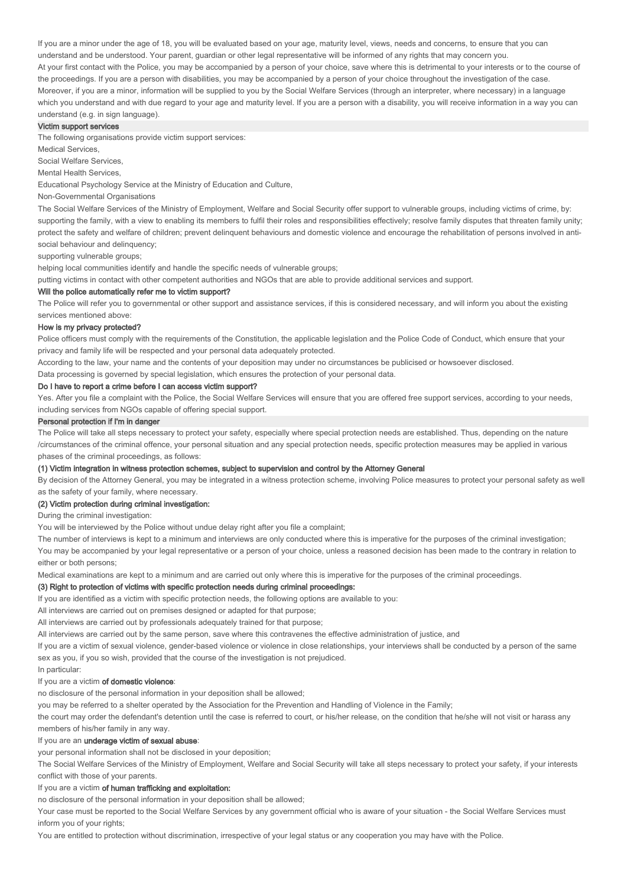If you are a minor under the age of 18, you will be evaluated based on your age, maturity level, views, needs and concerns, to ensure that you can understand and be understood. Your parent, guardian or other legal representative will be informed of any rights that may concern you.

Moreover, if you are a minor, information will be supplied to you by the Social Welfare Services (through an interpreter, where necessary) in a language which you understand and with due regard to your age and maturity level. If you are a person with a disability, you will receive information in a way you can understand (e.g. in sign language). At your first contact with the Police, you may be accompanied by a person of your choice, save where this is detrimental to your interests or to the course of the proceedings. If you are a person with disabilities, you may be accompanied by a person of your choice throughout the investigation of the case.

#### Victim support services

The following organisations provide victim support services:

Medical Services,

Social Welfare Services,

Mental Health Services,

Educational Psychology Service at the Ministry of Education and Culture,

Non-Governmental Organisations

The Social Welfare Services of the Ministry of Employment, Welfare and Social Security offer support to vulnerable groups, including victims of crime, by: supporting the family, with a view to enabling its members to fulfil their roles and responsibilities effectively; resolve family disputes that threaten family unity; protect the safety and welfare of children; prevent delinquent behaviours and domestic violence and encourage the rehabilitation of persons involved in antisocial behaviour and delinquency;

supporting vulnerable groups;

helping local communities identify and handle the specific needs of vulnerable groups;

putting victims in contact with other competent authorities and NGOs that are able to provide additional services and support.

### Will the police automatically refer me to victim support?

The Police will refer you to governmental or other support and assistance services, if this is considered necessary, and will inform you about the existing services mentioned above:

# How is my privacy protected?

Police officers must comply with the requirements of the Constitution, the applicable legislation and the Police Code of Conduct, which ensure that your privacy and family life will be respected and your personal data adequately protected.

According to the law, your name and the contents of your deposition may under no circumstances be publicised or howsoever disclosed.

Data processing is governed by special legislation, which ensures the protection of your personal data.

# Do I have to report a crime before I can access victim support?

Yes. After you file a complaint with the Police, the Social Welfare Services will ensure that you are offered free support services, according to your needs, including services from NGOs capable of offering special support.

#### Personal protection if I'm in danger

The Police will take all steps necessary to protect your safety, especially where special protection needs are established. Thus, depending on the nature /circumstances of the criminal offence, your personal situation and any special protection needs, specific protection measures may be applied in various phases of the criminal proceedings, as follows:

#### (1) Victim integration in witness protection schemes, subject to supervision and control by the Attorney General

By decision of the Attorney General, you may be integrated in a witness protection scheme, involving Police measures to protect your personal safety as well as the safety of your family, where necessary.

#### (2) Victim protection during criminal investigation:

During the criminal investigation:

You will be interviewed by the Police without undue delay right after you file a complaint;

The number of interviews is kept to a minimum and interviews are only conducted where this is imperative for the purposes of the criminal investigation; You may be accompanied by your legal representative or a person of your choice, unless a reasoned decision has been made to the contrary in relation to either or both persons;

Medical examinations are kept to a minimum and are carried out only where this is imperative for the purposes of the criminal proceedings.

#### (3) Right to protection of victims with specific protection needs during criminal proceedings:

If you are identified as a victim with specific protection needs, the following options are available to you:

All interviews are carried out on premises designed or adapted for that purpose;

All interviews are carried out by professionals adequately trained for that purpose;

All interviews are carried out by the same person, save where this contravenes the effective administration of justice, and

If you are a victim of sexual violence, gender-based violence or violence in close relationships, your interviews shall be conducted by a person of the same sex as you, if you so wish, provided that the course of the investigation is not prejudiced.

In particular:

#### If you are a victim of domestic violence:

no disclosure of the personal information in your deposition shall be allowed;

you may be referred to a shelter operated by the Association for the Prevention and Handling of Violence in the Family;

the court may order the defendant's detention until the case is referred to court, or his/her release, on the condition that he/she will not visit or harass any members of his/her family in any way.

# If you are an underage victim of sexual abuse:

your personal information shall not be disclosed in your deposition;

The Social Welfare Services of the Ministry of Employment, Welfare and Social Security will take all steps necessary to protect your safety, if your interests conflict with those of your parents.

# If you are a victim of human trafficking and exploitation:

no disclosure of the personal information in your deposition shall be allowed;

Your case must be reported to the Social Welfare Services by any government official who is aware of your situation - the Social Welfare Services must inform you of your rights;

You are entitled to protection without discrimination, irrespective of your legal status or any cooperation you may have with the Police.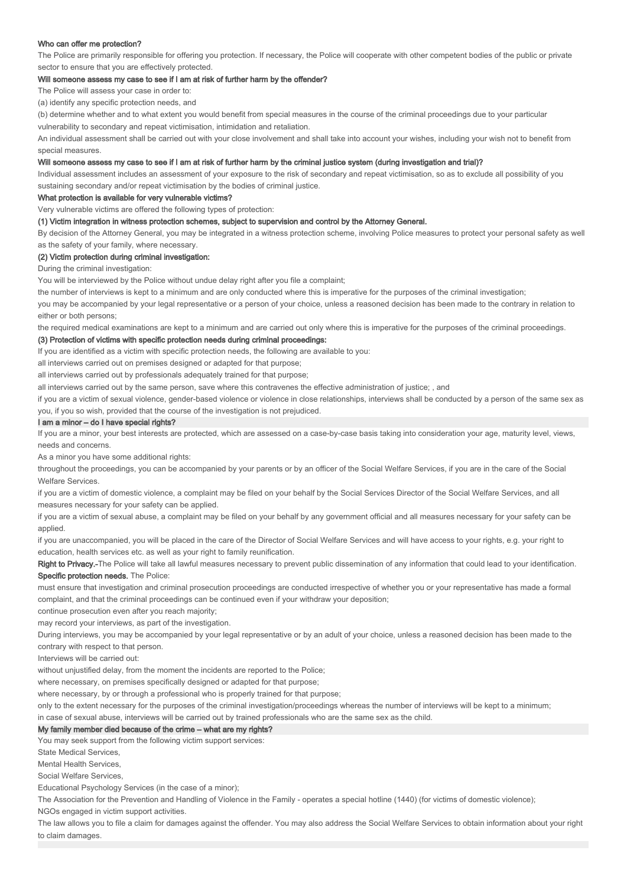## Who can offer me protection?

The Police are primarily responsible for offering you protection. If necessary, the Police will cooperate with other competent bodies of the public or private sector to ensure that you are effectively protected.

#### Will someone assess my case to see if I am at risk of further harm by the offender?

The Police will assess your case in order to:

(a) identify any specific protection needs, and

(b) determine whether and to what extent you would benefit from special measures in the course of the criminal proceedings due to your particular

vulnerability to secondary and repeat victimisation, intimidation and retaliation.

An individual assessment shall be carried out with your close involvement and shall take into account your wishes, including your wish not to benefit from special measures.

## Will someone assess my case to see if I am at risk of further harm by the criminal justice system (during investigation and trial)?

Individual assessment includes an assessment of your exposure to the risk of secondary and repeat victimisation, so as to exclude all possibility of you sustaining secondary and/or repeat victimisation by the bodies of criminal justice.

#### What protection is available for very vulnerable victims?

Very vulnerable victims are offered the following types of protection:

#### (1) Victim integration in witness protection schemes, subject to supervision and control by the Attorney General.

By decision of the Attorney General, you may be integrated in a witness protection scheme, involving Police measures to protect your personal safety as well as the safety of your family, where necessary.

## (2) Victim protection during criminal investigation:

During the criminal investigation:

You will be interviewed by the Police without undue delay right after you file a complaint;

the number of interviews is kept to a minimum and are only conducted where this is imperative for the purposes of the criminal investigation;

you may be accompanied by your legal representative or a person of your choice, unless a reasoned decision has been made to the contrary in relation to either or both persons;

the required medical examinations are kept to a minimum and are carried out only where this is imperative for the purposes of the criminal proceedings.

#### (3) Protection of victims with specific protection needs during criminal proceedings:

If you are identified as a victim with specific protection needs, the following are available to you:

all interviews carried out on premises designed or adapted for that purpose;

all interviews carried out by professionals adequately trained for that purpose;

all interviews carried out by the same person, save where this contravenes the effective administration of justice; , and

if you are a victim of sexual violence, gender-based violence or violence in close relationships, interviews shall be conducted by a person of the same sex as you, if you so wish, provided that the course of the investigation is not prejudiced.

#### I am a minor – do I have special rights?

If you are a minor, your best interests are protected, which are assessed on a case-by-case basis taking into consideration your age, maturity level, views, needs and concerns.

As a minor you have some additional rights:

throughout the proceedings, you can be accompanied by your parents or by an officer of the Social Welfare Services, if you are in the care of the Social Welfare Services.

if you are a victim of domestic violence, a complaint may be filed on your behalf by the Social Services Director of the Social Welfare Services, and all measures necessary for your safety can be applied.

if you are a victim of sexual abuse, a complaint may be filed on your behalf by any government official and all measures necessary for your safety can be applied.

if you are unaccompanied, you will be placed in the care of the Director of Social Welfare Services and will have access to your rights, e.g. your right to education, health services etc. as well as your right to family reunification.

Right to Privacy.-The Police will take all lawful measures necessary to prevent public dissemination of any information that could lead to your identification. Specific protection needs. The Police:

must ensure that investigation and criminal prosecution proceedings are conducted irrespective of whether you or your representative has made a formal complaint, and that the criminal proceedings can be continued even if your withdraw your deposition;

continue prosecution even after you reach majority;

may record your interviews, as part of the investigation.

During interviews, you may be accompanied by your legal representative or by an adult of your choice, unless a reasoned decision has been made to the contrary with respect to that person.

Interviews will be carried out:

without unjustified delay, from the moment the incidents are reported to the Police:

where necessary, on premises specifically designed or adapted for that purpose;

where necessary, by or through a professional who is properly trained for that purpose;

only to the extent necessary for the purposes of the criminal investigation/proceedings whereas the number of interviews will be kept to a minimum;

in case of sexual abuse, interviews will be carried out by trained professionals who are the same sex as the child.

# My family member died because of the crime – what are my rights?

You may seek support from the following victim support services:

State Medical Services,

Mental Health Services,

Social Welfare Services,

Educational Psychology Services (in the case of a minor);

The Association for the Prevention and Handling of Violence in the Family - operates a special hotline (1440) (for victims of domestic violence);

NGOs engaged in victim support activities.

The law allows you to file a claim for damages against the offender. You may also address the Social Welfare Services to obtain information about your right to claim damages.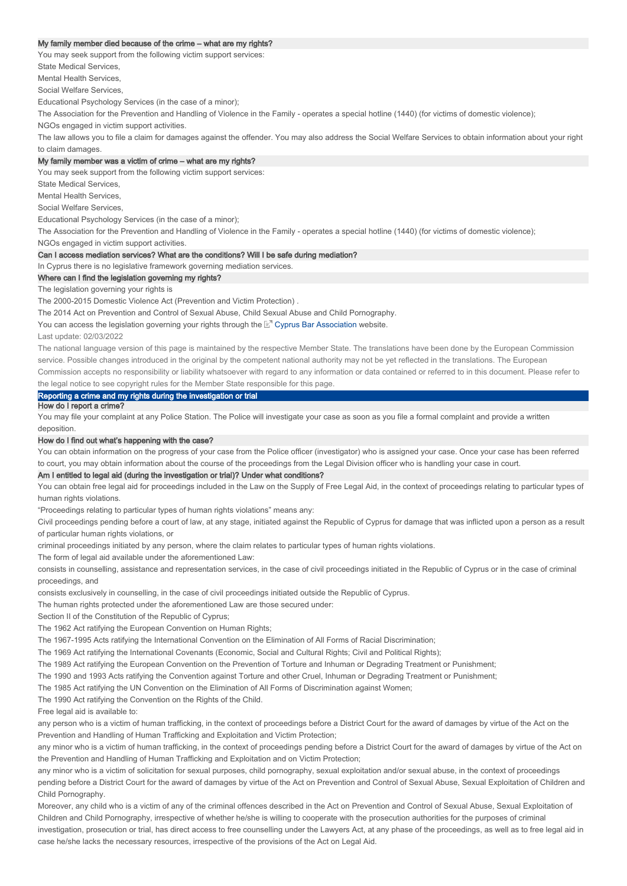#### My family member died because of the crime – what are my rights?

You may seek support from the following victim support services:

State Medical Services,

Mental Health Services,

Social Welfare Services,

Educational Psychology Services (in the case of a minor);

The Association for the Prevention and Handling of Violence in the Family - operates a special hotline (1440) (for victims of domestic violence);

NGOs engaged in victim support activities.

The law allows you to file a claim for damages against the offender. You may also address the Social Welfare Services to obtain information about your right to claim damages.

#### My family member was a victim of crime – what are my rights?

You may seek support from the following victim support services:

State Medical Services,

Mental Health Services,

Social Welfare Services,

Educational Psychology Services (in the case of a minor);

The Association for the Prevention and Handling of Violence in the Family - operates a special hotline (1440) (for victims of domestic violence);

NGOs engaged in victim support activities.

# Can I access mediation services? What are the conditions? Will I be safe during mediation?

In Cyprus there is no legislative framework governing mediation services.

#### Where can I find the legislation governing my rights?

The legislation governing your rights is

The 2000-2015 Domestic Violence Act (Prevention and Victim Protection) .

The 2014 Act on Prevention and Control of Sexual Abuse, Child Sexual Abuse and Child Pornography.

You can access the legislation governing your rights through the L<sup>er</sup> Cyprus Bar Association website.

Last update: 02/03/2022

The national language version of this page is maintained by the respective Member State. The translations have been done by the European Commission service. Possible changes introduced in the original by the competent national authority may not be yet reflected in the translations. The European Commission accepts no responsibility or liability whatsoever with regard to any information or data contained or referred to in this document. Please refer to the legal notice to see copyright rules for the Member State responsible for this page.

Reporting a crime and my rights during the investigation or trial

# How do I report a crime?

You may file your complaint at any Police Station. The Police will investigate your case as soon as you file a formal complaint and provide a written deposition.

#### How do I find out what's happening with the case?

You can obtain information on the progress of your case from the Police officer (investigator) who is assigned your case. Once your case has been referred to court, you may obtain information about the course of the proceedings from the Legal Division officer who is handling your case in court.

#### Am I entitled to legal aid (during the investigation or trial)? Under what conditions?

You can obtain free legal aid for proceedings included in the Law on the Supply of Free Legal Aid, in the context of proceedings relating to particular types of human rights violations.

"Proceedings relating to particular types of human rights violations" means any:

Civil proceedings pending before a court of law, at any stage, initiated against the Republic of Cyprus for damage that was inflicted upon a person as a result of particular human rights violations, or

criminal proceedings initiated by any person, where the claim relates to particular types of human rights violations.

The form of legal aid available under the aforementioned Law:

consists in counselling, assistance and representation services, in the case of civil proceedings initiated in the Republic of Cyprus or in the case of criminal proceedings, and

consists exclusively in counselling, in the case of civil proceedings initiated outside the Republic of Cyprus.

The human rights protected under the aforementioned Law are those secured under:

Section II of the Constitution of the Republic of Cyprus;

The 1962 Act ratifying the European Convention on Human Rights;

The 1967-1995 Acts ratifying the International Convention on the Elimination of All Forms of Racial Discrimination;

The 1969 Act ratifying the International Covenants (Economic, Social and Cultural Rights; Civil and Political Rights);

The 1989 Act ratifying the European Convention on the Prevention of Torture and Inhuman or Degrading Treatment or Punishment;

The 1990 and 1993 Acts ratifying the Convention against Torture and other Cruel, Inhuman or Degrading Treatment or Punishment;

The 1985 Act ratifying the UN Convention on the Elimination of All Forms of Discrimination against Women;

The 1990 Act ratifying the Convention on the Rights of the Child.

Free legal aid is available to:

any person who is a victim of human trafficking, in the context of proceedings before a District Court for the award of damages by virtue of the Act on the Prevention and Handling of Human Trafficking and Exploitation and Victim Protection;

any minor who is a victim of human trafficking, in the context of proceedings pending before a District Court for the award of damages by virtue of the Act on the Prevention and Handling of Human Trafficking and Exploitation and on Victim Protection;

any minor who is a victim of solicitation for sexual purposes, child pornography, sexual exploitation and/or sexual abuse, in the context of proceedings pending before a District Court for the award of damages by virtue of the Act on Prevention and Control of Sexual Abuse, Sexual Exploitation of Children and Child Pornography.

Moreover, any child who is a victim of any of the criminal offences described in the Act on Prevention and Control of Sexual Abuse, Sexual Exploitation of Children and Child Pornography, irrespective of whether he/she is willing to cooperate with the prosecution authorities for the purposes of criminal investigation, prosecution or trial, has direct access to free counselling under the Lawyers Act, at any phase of the proceedings, as well as to free legal aid in case he/she lacks the necessary resources, irrespective of the provisions of the Act on Legal Aid.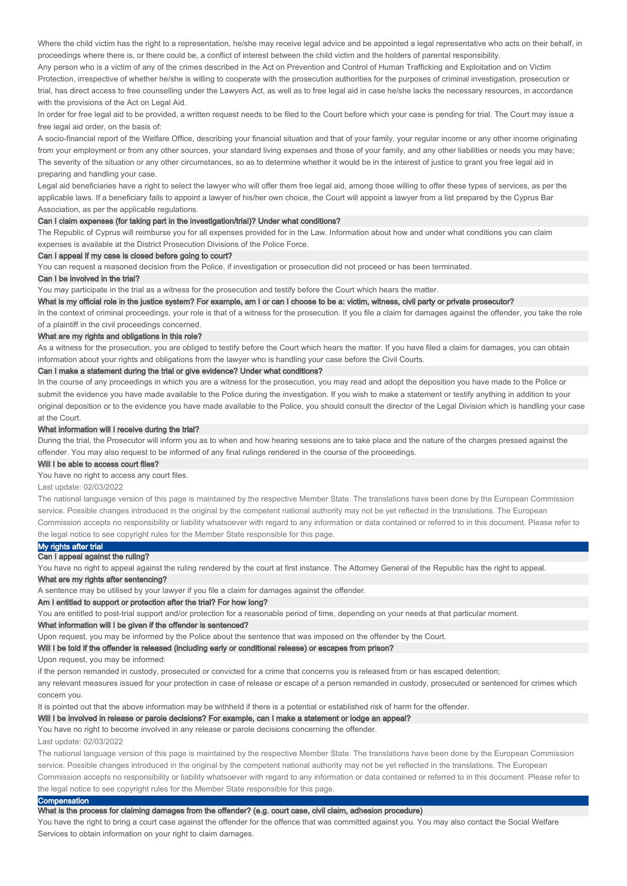Where the child victim has the right to a representation, he/she may receive legal advice and be appointed a legal representative who acts on their behalf, in proceedings where there is, or there could be, a conflict of interest between the child victim and the holders of parental responsibility.

Any person who is a victim of any of the crimes described in the Act on Prevention and Control of Human Trafficking and Exploitation and on Victim Protection, irrespective of whether he/she is willing to cooperate with the prosecution authorities for the purposes of criminal investigation, prosecution or trial, has direct access to free counselling under the Lawyers Act, as well as to free legal aid in case he/she lacks the necessary resources, in accordance with the provisions of the Act on Legal Aid.

In order for free legal aid to be provided, a written request needs to be filed to the Court before which your case is pending for trial. The Court may issue a free legal aid order, on the basis of:

A socio-financial report of the Welfare Office, describing your financial situation and that of your family, your regular income or any other income originating from your employment or from any other sources, your standard living expenses and those of your family, and any other liabilities or needs you may have; The severity of the situation or any other circumstances, so as to determine whether it would be in the interest of justice to grant you free legal aid in preparing and handling your case.

Legal aid beneficiaries have a right to select the lawyer who will offer them free legal aid, among those willing to offer these types of services, as per the applicable laws. If a beneficiary fails to appoint a lawyer of his/her own choice, the Court will appoint a lawyer from a list prepared by the Cyprus Bar Association, as per the applicable regulations.

#### Can I claim expenses (for taking part in the investigation/trial)? Under what conditions?

The Republic of Cyprus will reimburse you for all expenses provided for in the Law. Information about how and under what conditions you can claim expenses is available at the District Prosecution Divisions of the Police Force.

# Can I appeal if my case is closed before going to court?

You can request a reasoned decision from the Police, if investigation or prosecution did not proceed or has been terminated.

## Can I be involved in the trial?

You may participate in the trial as a witness for the prosecution and testify before the Court which hears the matter.

#### What is my official role in the justice system? For example, am I or can I choose to be a: victim, witness, civil party or private prosecutor?

In the context of criminal proceedings, your role is that of a witness for the prosecution. If you file a claim for damages against the offender, you take the role of a plaintiff in the civil proceedings concerned.

#### What are my rights and obligations in this role?

As a witness for the prosecution, you are obliged to testify before the Court which hears the matter. If you have filed a claim for damages, you can obtain information about your rights and obligations from the lawyer who is handling your case before the Civil Courts.

#### Can I make a statement during the trial or give evidence? Under what conditions?

In the course of any proceedings in which you are a witness for the prosecution, you may read and adopt the deposition you have made to the Police or submit the evidence you have made available to the Police during the investigation. If you wish to make a statement or testify anything in addition to your original deposition or to the evidence you have made available to the Police, you should consult the director of the Legal Division which is handling your case at the Court.

#### What information will I receive during the trial?

During the trial, the Prosecutor will inform you as to when and how hearing sessions are to take place and the nature of the charges pressed against the offender. You may also request to be informed of any final rulings rendered in the course of the proceedings.

#### Will I be able to access court files?

You have no right to access any court files.

## Last update: 02/03/2022

The national language version of this page is maintained by the respective Member State. The translations have been done by the European Commission service. Possible changes introduced in the original by the competent national authority may not be yet reflected in the translations. The European Commission accepts no responsibility or liability whatsoever with regard to any information or data contained or referred to in this document. Please refer to the legal notice to see copyright rules for the Member State responsible for this page.

### My rights after trial

# Can I appeal against the ruling?

You have no right to appeal against the ruling rendered by the court at first instance. The Attorney General of the Republic has the right to appeal.

# What are my rights after sentencing?

A sentence may be utilised by your lawyer if you file a claim for damages against the offender.

# Am I entitled to support or protection after the trial? For how long?

You are entitled to post-trial support and/or protection for a reasonable period of time, depending on your needs at that particular moment.

#### What information will I be given if the offender is sentenced?

Upon request, you may be informed by the Police about the sentence that was imposed on the offender by the Court.

#### Will I be told if the offender is released (including early or conditional release) or escapes from prison?

Upon request, you may be informed:

if the person remanded in custody, prosecuted or convicted for a crime that concerns you is released from or has escaped detention;

any relevant measures issued for your protection in case of release or escape of a person remanded in custody, prosecuted or sentenced for crimes which concern you.

It is pointed out that the above information may be withheld if there is a potential or established risk of harm for the offender.

# Will I be involved in release or parole decisions? For example, can I make a statement or lodge an appeal?

#### You have no right to become involved in any release or parole decisions concerning the offender.

Last update: 02/03/2022

The national language version of this page is maintained by the respective Member State. The translations have been done by the European Commission service. Possible changes introduced in the original by the competent national authority may not be yet reflected in the translations. The European Commission accepts no responsibility or liability whatsoever with regard to any information or data contained or referred to in this document. Please refer to the legal notice to see copyright rules for the Member State responsible for this page.

# **Compensation**

# What is the process for claiming damages from the offender? (e.g. court case, civil claim, adhesion procedure)

You have the right to bring a court case against the offender for the offence that was committed against you. You may also contact the Social Welfare Services to obtain information on your right to claim damages.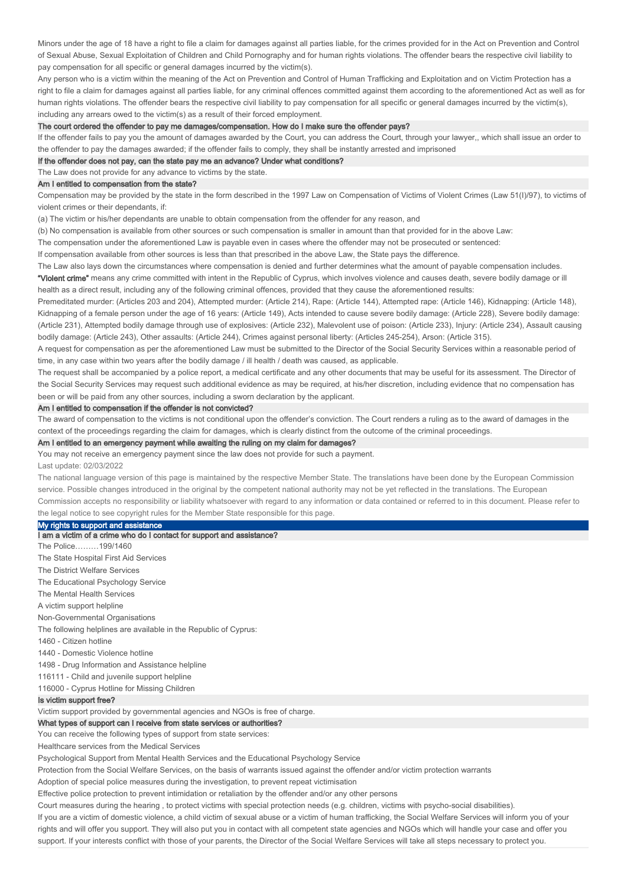Minors under the age of 18 have a right to file a claim for damages against all parties liable, for the crimes provided for in the Act on Prevention and Control of Sexual Abuse, Sexual Exploitation of Children and Child Pornography and for human rights violations. The offender bears the respective civil liability to pay compensation for all specific or general damages incurred by the victim(s).

Any person who is a victim within the meaning of the Act on Prevention and Control of Human Trafficking and Exploitation and on Victim Protection has a right to file a claim for damages against all parties liable, for any criminal offences committed against them according to the aforementioned Act as well as for human rights violations. The offender bears the respective civil liability to pay compensation for all specific or general damages incurred by the victim(s), including any arrears owed to the victim(s) as a result of their forced employment.

#### The court ordered the offender to pay me damages/compensation. How do I make sure the offender pays?

If the offender fails to pay you the amount of damages awarded by the Court, you can address the Court, through your lawyer,, which shall issue an order to the offender to pay the damages awarded; if the offender fails to comply, they shall be instantly arrested and imprisoned

# If the offender does not pay, can the state pay me an advance? Under what conditions?

The Law does not provide for any advance to victims by the state.

# Am I entitled to compensation from the state?

Compensation may be provided by the state in the form described in the 1997 Law on Compensation of Victims of Violent Crimes (Law 51(I)/97), to victims of violent crimes or their dependants, if:

(a) The victim or his/her dependants are unable to obtain compensation from the offender for any reason, and

(b) No compensation is available from other sources or such compensation is smaller in amount than that provided for in the above Law:

The compensation under the aforementioned Law is payable even in cases where the offender may not be prosecuted or sentenced:

If compensation available from other sources is less than that prescribed in the above Law, the State pays the difference.

The Law also lays down the circumstances where compensation is denied and further determines what the amount of payable compensation includes.

"Violent crime" means any crime committed with intent in the Republic of Cyprus, which involves violence and causes death, severe bodily damage or ill health as a direct result, including any of the following criminal offences, provided that they cause the aforementioned results:

Premeditated murder: (Articles 203 and 204), Attempted murder: (Article 214), Rape: (Article 144), Attempted rape: (Article 146), Kidnapping: (Article 148), Kidnapping of a female person under the age of 16 years: (Article 149), Acts intended to cause severe bodily damage: (Article 228), Severe bodily damage: (Article 231), Attempted bodily damage through use of explosives: (Article 232), Malevolent use of poison: (Article 233), Injury: (Article 234), Assault causing bodily damage: (Article 243), Other assaults: (Article 244), Crimes against personal liberty: (Articles 245-254), Arson: (Article 315).

A request for compensation as per the aforementioned Law must be submitted to the Director of the Social Security Services within a reasonable period of time, in any case within two years after the bodily damage / ill health / death was caused, as applicable.

The request shall be accompanied by a police report, a medical certificate and any other documents that may be useful for its assessment. The Director of the Social Security Services may request such additional evidence as may be required, at his/her discretion, including evidence that no compensation has been or will be paid from any other sources, including a sworn declaration by the applicant.

# Am I entitled to compensation if the offender is not convicted?

The award of compensation to the victims is not conditional upon the offender's conviction. The Court renders a ruling as to the award of damages in the context of the proceedings regarding the claim for damages, which is clearly distinct from the outcome of the criminal proceedings.

# Am I entitled to an emergency payment while awaiting the ruling on my claim for damages?

You may not receive an emergency payment since the law does not provide for such a payment.

# Last update: 02/03/2022

The national language version of this page is maintained by the respective Member State. The translations have been done by the European Commission service. Possible changes introduced in the original by the competent national authority may not be yet reflected in the translations. The European Commission accepts no responsibility or liability whatsoever with regard to any information or data contained or referred to in this document. Please refer to the legal notice to see copyright rules for the Member State responsible for this page.

#### My rights to support and assistance

I am a victim of a crime who do I contact for support and assistance?

The Police………199/1460 The State Hospital First Aid Services The District Welfare Services The Educational Psychology Service The Mental Health Services A victim support helpline Non-Governmental Organisations The following helplines are available in the Republic of Cyprus: 1460 - Citizen hotline 1440 - Domestic Violence hotline 1498 - Drug Information and Assistance helpline 116111 - Child and juvenile support helpline 116000 - Cyprus Hotline for Missing Children

#### Is victim support free?

Victim support provided by governmental agencies and NGOs is free of charge.

#### What types of support can I receive from state services or authorities?

You can receive the following types of support from state services:

Healthcare services from the Medical Services

Psychological Support from Mental Health Services and the Educational Psychology Service

Protection from the Social Welfare Services, on the basis of warrants issued against the offender and/or victim protection warrants

Adoption of special police measures during the investigation, to prevent repeat victimisation

Effective police protection to prevent intimidation or retaliation by the offender and/or any other persons

Court measures during the hearing , to protect victims with special protection needs (e.g. children, victims with psycho-social disabilities).

If you are a victim of domestic violence, a child victim of sexual abuse or a victim of human trafficking, the Social Welfare Services will inform you of your rights and will offer you support. They will also put you in contact with all competent state agencies and NGOs which will handle your case and offer you support. If your interests conflict with those of your parents, the Director of the Social Welfare Services will take all steps necessary to protect you.